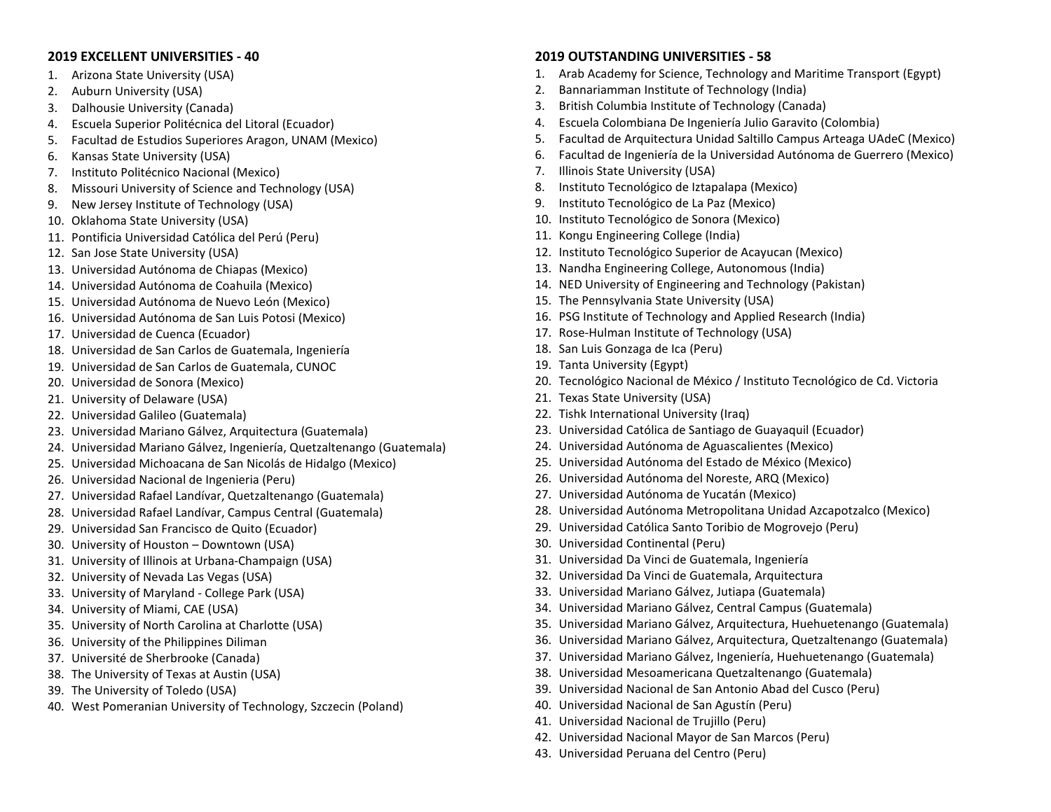## **2019 EXCELLENT UNIVERSITIES - 40**

- 1. Arizona State University (USA)
- 2. Auburn University (USA)
- 3. Dalhousie University (Canada)
- 4. Escuela Superior Politécnica del Litoral (Ecuador)
- 5. Facultad de Estudios Superiores Aragon, UNAM (Mexico)
- 6. Kansas State University (USA)
- 7. Instituto Politécnico Nacional (Mexico)
- 8. Missouri University of Science and Technology (USA)
- 9. New Jersey Institute of Technology (USA)
- 10. Oklahoma State University (USA)
- 11. Pontificia Universidad Católica del Perú (Peru)
- 12. San Jose State University (USA)
- 13. Universidad Autónoma de Chiapas (Mexico)
- 14. Universidad Autónoma de Coahuila (Mexico)
- 15. Universidad Autónoma de Nuevo León (Mexico)
- 16. Universidad Autónoma de San Luis Potosi (Mexico)
- 17. Universidad de Cuenca (Ecuador)
- 18. Universidad de San Carlos de Guatemala, Ingeniería
- 19. Universidad de San Carlos de Guatemala, CUNOC
- 20. Universidad de Sonora (Mexico)
- 21. University of Delaware (USA)
- 22. Universidad Galileo (Guatemala)
- 23. Universidad Mariano Gálvez, Arquitectura (Guatemala)
- 24. Universidad Mariano Gálvez, Ingeniería, Quetzaltenango (Guatemala)
- 25. Universidad Michoacana de San Nicolás de Hidalgo (Mexico)
- 26. Universidad Nacional de Ingenieria (Peru)
- 27. Universidad Rafael Landívar, Quetzaltenango (Guatemala)
- 28. Universidad Rafael Landívar, Campus Central (Guatemala)
- 29. Universidad San Francisco de Quito (Ecuador)
- 30. University of Houston Downtown (USA)
- 31. University of Illinois at Urbana-Champaign (USA)
- 32. University of Nevada Las Vegas (USA)
- 33. University of Maryland College Park (USA)
- 34. University of Miami, CAE (USA)
- 35. University of North Carolina at Charlotte (USA)
- 36. University of the Philippines Diliman
- 37. Université de Sherbrooke (Canada)
- 38. The University of Texas at Austin (USA)
- 39. The University of Toledo (USA)
- 40. West Pomeranian University of Technology, Szczecin (Poland)

## **2019 OUTSTANDING UNIVERSITIES - 58**

- 1. Arab Academy for Science, Technology and Maritime Transport (Egypt)
- 2. Bannariamman Institute of Technology (India)
- 3. British Columbia Institute of Technology (Canada)
- 4. Escuela Colombiana De Ingeniería Julio Garavito (Colombia)
- 5. Facultad de Arquitectura Unidad Saltillo Campus Arteaga UAdeC (Mexico)
- 6. Facultad de Ingeniería de la Universidad Autónoma de Guerrero (Mexico)
- 7. Illinois State University (USA)
- 8. Instituto Tecnológico de Iztapalapa (Mexico)
- 9. Instituto Tecnológico de La Paz (Mexico)
- 10. Instituto Tecnológico de Sonora (Mexico)
- 11. Kongu Engineering College (India)
- 12. Instituto Tecnológico Superior de Acayucan (Mexico)
- 13. Nandha Engineering College, Autonomous (India)
- 14. NED University of Engineering and Technology (Pakistan)
- 15. The Pennsylvania State University (USA)
- 16. PSG Institute of Technology and Applied Research (India)
- 17. Rose-Hulman Institute of Technology (USA)
- 18. San Luis Gonzaga de Ica (Peru)
- 19. Tanta University (Egypt)
- 20. Tecnológico Nacional de México / Instituto Tecnológico de Cd. Victoria
- 21. Texas State University (USA)
- 22. Tishk International University (Iraq)
- 23. Universidad Católica de Santiago de Guayaquil (Ecuador)
- 24. Universidad Autónoma de Aguascalientes (Mexico)
- 25. Universidad Autónoma del Estado de México (Mexico)
- 26. Universidad Autónoma del Noreste, ARQ (Mexico)
- 27. Universidad Autónoma de Yucatán (Mexico)
- 28. Universidad Autónoma Metropolitana Unidad Azcapotzalco (Mexico)
- 29. Universidad Católica Santo Toribio de Mogrovejo (Peru)
- 30. Universidad Continental (Peru)
- 31. Universidad Da Vinci de Guatemala, Ingeniería
- 32. Universidad Da Vinci de Guatemala, Arquitectura
- 33. Universidad Mariano Gálvez, Jutiapa (Guatemala)
- 34. Universidad Mariano Gálvez, Central Campus (Guatemala)
- 35. Universidad Mariano Gálvez, Arquitectura, Huehuetenango (Guatemala)
- 36. Universidad Mariano Gálvez, Arquitectura, Quetzaltenango (Guatemala)
- 37. Universidad Mariano Gálvez, Ingeniería, Huehuetenango (Guatemala)
- 38. Universidad Mesoamericana Quetzaltenango (Guatemala)
- 39. Universidad Nacional de San Antonio Abad del Cusco (Peru)
- 40. Universidad Nacional de San Agustín (Peru)
- 41. Universidad Nacional de Trujillo (Peru)
- 42. Universidad Nacional Mayor de San Marcos (Peru)
- 43. Universidad Peruana del Centro (Peru)